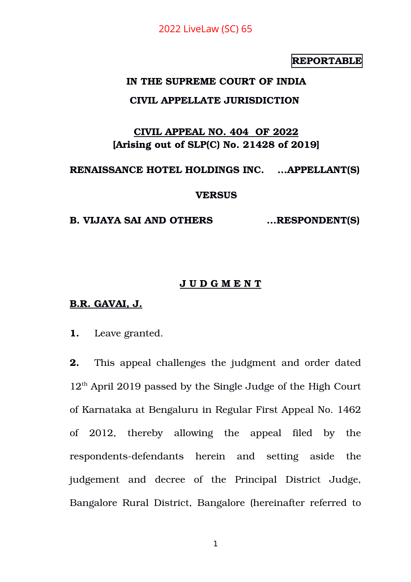# **REPORTABLE**

# **IN THE SUPREME COURT OF INDIA**

### **CIVIL APPELLATE JURISDICTION**

# **CIVIL APPEAL NO. 404 OF 2022 [Arising out of SLP(C) No. 21428 of 2019]**

#### **RENAISSANCE HOTEL HOLDINGS INC. ...APPELLANT(S)**

#### **VERSUS**

**B. VIJAYA SAI AND OTHERS ...RESPONDENT(S)**

#### **J U D G M E N T**

#### **B.R. GAVAI, J.**

**1.** Leave granted.

**2.** This appeal challenges the judgment and order dated  $12<sup>th</sup>$  April 2019 passed by the Single Judge of the High Court of Karnataka at Bengaluru in Regular First Appeal No. 1462 of 2012, thereby allowing the appeal filed by the respondents-defendants herein and setting aside the judgement and decree of the Principal District Judge, Bangalore Rural District, Bangalore (hereinafter referred to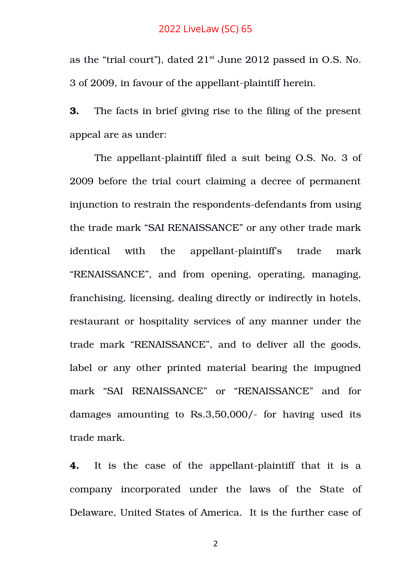as the "trial court"), dated  $21<sup>st</sup>$  June 2012 passed in O.S. No. 3 of 2009, in favour of the appellant-plaintiff herein.

**3.** The facts in brief giving rise to the filing of the present appeal are as under:

The appellant-plaintiff filed a suit being O.S. No. 3 of 2009 before the trial court claiming a decree of permanent injunction to restrain the respondents-defendants from using the trade mark "SAI RENAISSANCE" or any other trade mark identical with the appellant-plaintiff's trade mark "RENAISSANCE", and from opening, operating, managing, franchising, licensing, dealing directly or indirectly in hotels, restaurant or hospitality services of any manner under the trade mark "RENAISSANCE", and to deliver all the goods, label or any other printed material bearing the impugned mark "SAI RENAISSANCE" or "RENAISSANCE" and for damages amounting to  $\text{Rs.}3,50,000/$ - for having used its trade mark.

**4.** It is the case of the appellant-plaintiff that it is a company incorporated under the laws of the State of Delaware, United States of America. It is the further case of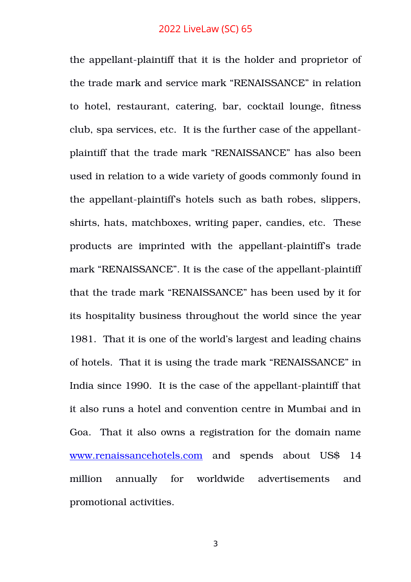the appellant-plaintiff that it is the holder and proprietor of the trade mark and service mark "RENAISSANCE" in relation to hotel, restaurant, catering, bar, cocktail lounge, fitness club, spa services, etc. It is the further case of the appellantplaintiff that the trade mark "RENAISSANCE" has also been used in relation to a wide variety of goods commonly found in the appellant-plaintiff's hotels such as bath robes, slippers, shirts, hats, matchboxes, writing paper, candies, etc. These products are imprinted with the appellant-plaintiff's trade mark "RENAISSANCE". It is the case of the appellant-plaintiff that the trade mark "RENAISSANCE" has been used by it for its hospitality business throughout the world since the year 1981. That it is one of the world's largest and leading chains of hotels. That it is using the trade mark "RENAISSANCE" in India since 1990. It is the case of the appellant-plaintiff that it also runs a hotel and convention centre in Mumbai and in Goa. That it also owns a registration for the domain name [www.renaissancehotels.com](http://www.renaissancehotels.com/) and spends about US\$ 14 million annually for worldwide advertisements and promotional activities.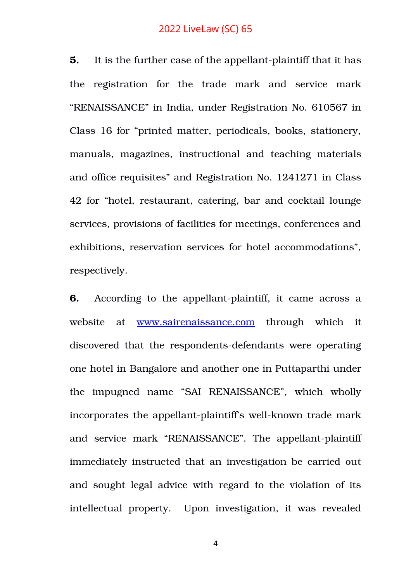**5.** It is the further case of the appellant-plaintiff that it has the registration for the trade mark and service mark "RENAISSANCE" in India, under Registration No. 610567 in Class 16 for "printed matter, periodicals, books, stationery, manuals, magazines, instructional and teaching materials and office requisites" and Registration No. 1241271 in Class 42 for "hotel, restaurant, catering, bar and cocktail lounge services, provisions of facilities for meetings, conferences and exhibitions, reservation services for hotel accommodations", respectively.

**6.** According to the appellant-plaintiff, it came across a website at [www.sairenaissance.com](http://www.sairenaissance.com/) through which it discovered that the respondents-defendants were operating one hotel in Bangalore and another one in Puttaparthi under the impugned name "SAI RENAISSANCE", which wholly incorporates the appellant-plaintiff's well-known trade mark and service mark "RENAISSANCE". The appellant-plaintiff immediately instructed that an investigation be carried out and sought legal advice with regard to the violation of its intellectual property. Upon investigation, it was revealed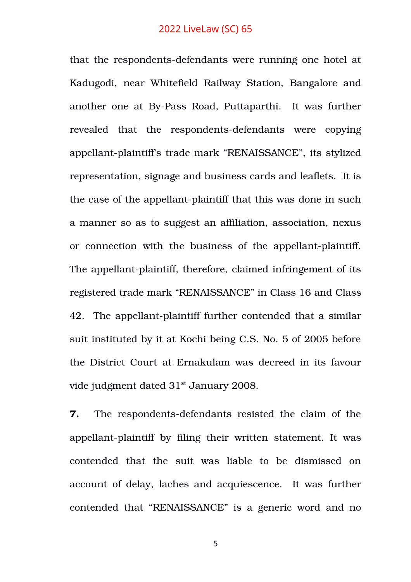that the respondents-defendants were running one hotel at Kadugodi, near Whitefield Railway Station, Bangalore and another one at By-Pass Road, Puttaparthi. It was further revealed that the respondents-defendants were copying appellant-plaintiff's trade mark "RENAISSANCE", its stylized representation, signage and business cards and leaflets. It is the case of the appellant-plaintiff that this was done in such a manner so as to suggest an affiliation, association, nexus or connection with the business of the appellant-plaintiff. The appellant-plaintiff, therefore, claimed infringement of its registered trade mark "RENAISSANCE" in Class 16 and Class 42. The appellant-plaintiff further contended that a similar suit instituted by it at Kochi being C.S. No. 5 of 2005 before the District Court at Ernakulam was decreed in its favour vide judgment dated 31<sup>st</sup> January 2008.

**7.** The respondents-defendants resisted the claim of the appellant-plaintiff by filing their written statement. It was contended that the suit was liable to be dismissed on account of delay, laches and acquiescence. It was further contended that "RENAISSANCE" is a generic word and no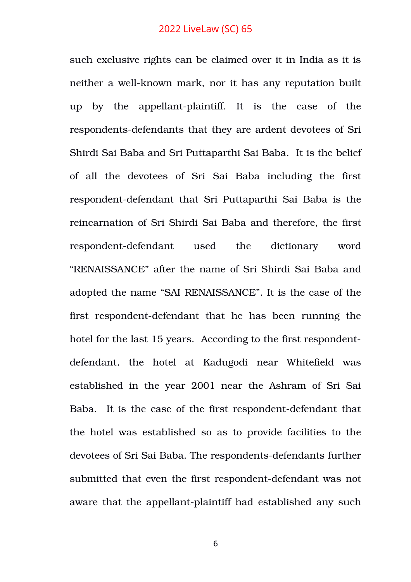such exclusive rights can be claimed over it in India as it is neither a well-known mark, nor it has any reputation built up by the appellant-plaintiff. It is the case of the respondents-defendants that they are ardent devotees of Sri Shirdi Sai Baba and Sri Puttaparthi Sai Baba. It is the belief of all the devotees of Sri Sai Baba including the first respondent-defendant that Sri Puttaparthi Sai Baba is the reincarnation of Sri Shirdi Sai Baba and therefore, the first respondent-defendant used the dictionary word "RENAISSANCE" after the name of Sri Shirdi Sai Baba and adopted the name "SAI RENAISSANCE". It is the case of the first respondent-defendant that he has been running the hotel for the last 15 years. According to the first respondentdefendant, the hotel at Kadugodi near Whitefield was established in the year 2001 near the Ashram of Sri Sai Baba. It is the case of the first respondent-defendant that the hotel was established so as to provide facilities to the devotees of Sri Sai Baba. The respondents-defendants further submitted that even the first respondent-defendant was not aware that the appellant-plaintiff had established any such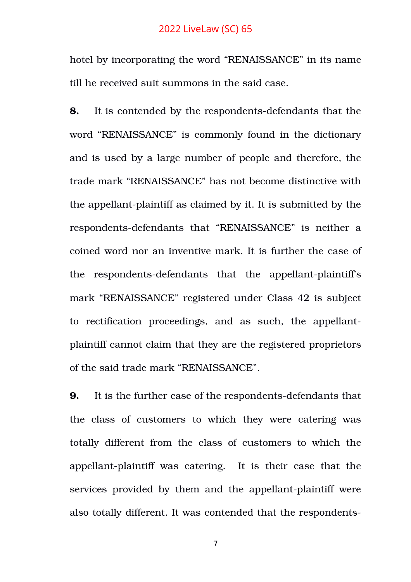hotel by incorporating the word "RENAISSANCE" in its name till he received suit summons in the said case.

**8.** It is contended by the respondents-defendants that the word "RENAISSANCE" is commonly found in the dictionary and is used by a large number of people and therefore, the trade mark "RENAISSANCE" has not become distinctive with the appellant-plaintiff as claimed by it. It is submitted by the respondents-defendants that "RENAISSANCE" is neither a coined word nor an inventive mark. It is further the case of the respondents-defendants that the appellant-plaintiff's mark "RENAISSANCE" registered under Class 42 is subject to rectification proceedings, and as such, the appellantplaintiff cannot claim that they are the registered proprietors of the said trade mark "RENAISSANCE".

**9.** It is the further case of the respondents-defendants that the class of customers to which they were catering was totally different from the class of customers to which the appellant-plaintiff was catering. It is their case that the services provided by them and the appellant-plaintiff were also totally different. It was contended that the respondents-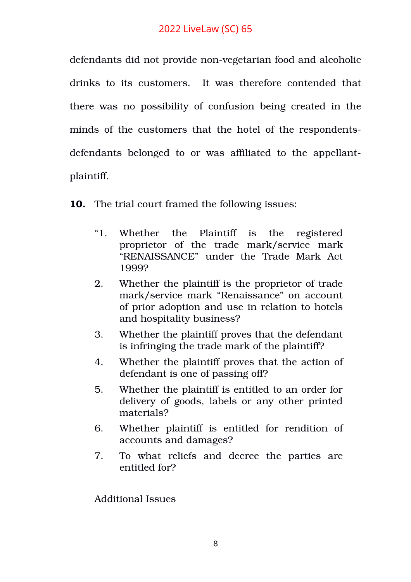defendants did not provide non-vegetarian food and alcoholic drinks to its customers. It was therefore contended that there was no possibility of confusion being created in the minds of the customers that the hotel of the respondentsdefendants belonged to or was affiliated to the appellantplaintiff.

**10.** The trial court framed the following issues:

- "1. Whether the Plaintiff is the registered proprietor of the trade mark/service mark "RENAISSANCE" under the Trade Mark Act 1999?
- 2. Whether the plaintiff is the proprietor of trade mark/service mark "Renaissance" on account of prior adoption and use in relation to hotels and hospitality business?
- 3. Whether the plaintiff proves that the defendant is infringing the trade mark of the plaintiff?
- 4. Whether the plaintiff proves that the action of defendant is one of passing off?
- 5. Whether the plaintiff is entitled to an order for delivery of goods, labels or any other printed materials?
- 6. Whether plaintiff is entitled for rendition of accounts and damages?
- 7. To what reliefs and decree the parties are entitled for?

Additional Issues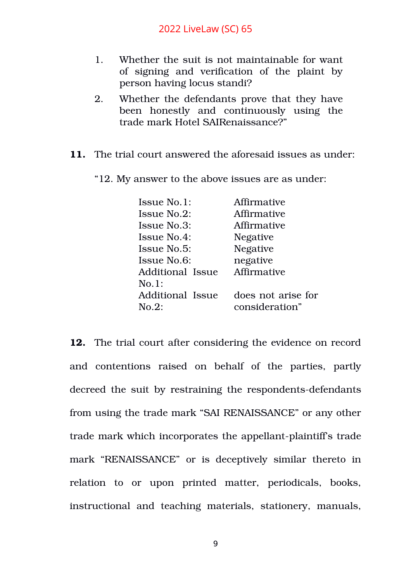- 1. Whether the suit is not maintainable for want of signing and verification of the plaint by person having locus standi?
- 2. Whether the defendants prove that they have been honestly and continuously using the trade mark Hotel SAIRenaissance?"
- **11.** The trial court answered the aforesaid issues as under:
	- "12. My answer to the above issues are as under:

| Issue No.1:        | Affirmative        |
|--------------------|--------------------|
| Issue No.2:        | Affirmative        |
| Issue No.3:        | Affirmative        |
| <b>Issue No.4:</b> | <b>Negative</b>    |
| <b>Issue No.5:</b> | <b>Negative</b>    |
| Issue No.6:        | negative           |
| Additional Issue   | Affirmative        |
| No.1:              |                    |
| Additional Issue   | does not arise for |
| $No.2$ :           | consideration"     |

**12.** The trial court after considering the evidence on record and contentions raised on behalf of the parties, partly decreed the suit by restraining the respondents-defendants from using the trade mark "SAI RENAISSANCE" or any other trade mark which incorporates the appellant-plaintiff's trade mark "RENAISSANCE" or is deceptively similar thereto in relation to or upon printed matter, periodicals, books, instructional and teaching materials, stationery, manuals,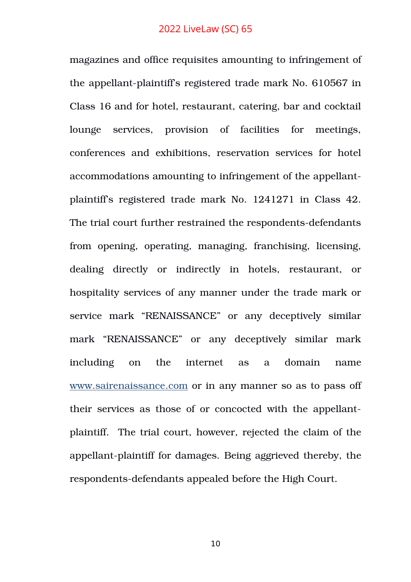magazines and office requisites amounting to infringement of the appellant-plaintiff's registered trade mark No. 610567 in Class 16 and for hotel, restaurant, catering, bar and cocktail lounge services, provision of facilities for meetings, conferences and exhibitions, reservation services for hotel accommodations amounting to infringement of the appellantplaintiff's registered trade mark No. 1241271 in Class 42. The trial court further restrained the respondents-defendants from opening, operating, managing, franchising, licensing, dealing directly or indirectly in hotels, restaurant, or hospitality services of any manner under the trade mark or service mark "RENAISSANCE" or any deceptively similar mark "RENAISSANCE" or any deceptively similar mark including on the internet as a domain name [www.sairenaissance.](http://www.sairenaissance/)com or in any manner so as to pass off their services as those of or concocted with the appellantplaintiff. The trial court, however, rejected the claim of the appellant-plaintiff for damages. Being aggrieved thereby, the respondents-defendants appealed before the High Court.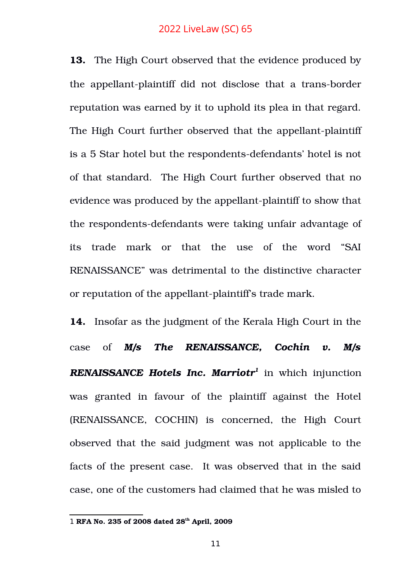**13.** The High Court observed that the evidence produced by the appellant-plaintiff did not disclose that a trans-border reputation was earned by it to uphold its plea in that regard. The High Court further observed that the appellant-plaintiff is a 5 Star hotel but the respondents-defendants' hotel is not of that standard. The High Court further observed that no evidence was produced by the appellant-plaintiff to show that the respondents-defendants were taking unfair advantage of its trade mark or that the use of the word "SAI RENAISSANCE" was detrimental to the distinctive character or reputation of the appellant-plaintiff's trade mark.

**14.** Insofar as the judgment of the Kerala High Court in the case of *M/s The RENAISSANCE, Cochin v. M/s RENAISSANCE Hotels Inc. Marriotr[1](#page-10-0)* in which injunction was granted in favour of the plaintiff against the Hotel (RENAISSANCE, COCHIN) is concerned, the High Court observed that the said judgment was not applicable to the facts of the present case. It was observed that in the said case, one of the customers had claimed that he was misled to

<span id="page-10-0"></span><sup>1</sup> **RFA No. 235 of 2008 dated 28th April, 2009**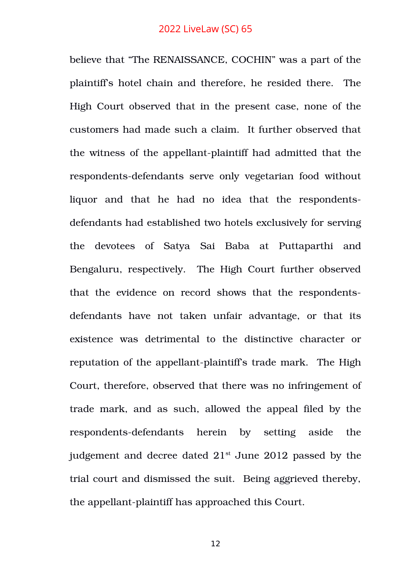believe that "The RENAISSANCE, COCHIN" was a part of the plaintiff's hotel chain and therefore, he resided there. The High Court observed that in the present case, none of the customers had made such a claim. It further observed that the witness of the appellant-plaintiff had admitted that the respondents-defendants serve only vegetarian food without liquor and that he had no idea that the respondentsdefendants had established two hotels exclusively for serving the devotees of Satya Sai Baba at Puttaparthi and Bengaluru, respectively. The High Court further observed that the evidence on record shows that the respondentsdefendants have not taken unfair advantage, or that its existence was detrimental to the distinctive character or reputation of the appellant-plaintiff's trade mark. The High Court, therefore, observed that there was no infringement of trade mark, and as such, allowed the appeal filed by the respondents-defendants herein by setting aside the judgement and decree dated  $21<sup>st</sup>$  June 2012 passed by the trial court and dismissed the suit. Being aggrieved thereby, the appellant-plaintiff has approached this Court.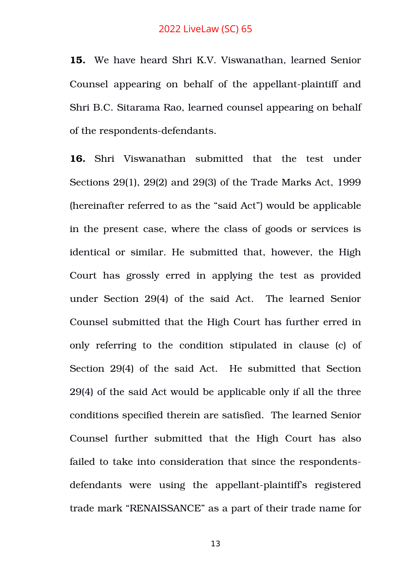**15.** We have heard Shri K.V. Viswanathan, learned Senior Counsel appearing on behalf of the appellant-plaintiff and Shri B.C. Sitarama Rao, learned counsel appearing on behalf of the respondents-defendants.

**16.** Shri Viswanathan submitted that the test under Sections 29(1), 29(2) and 29(3) of the Trade Marks Act, 1999 (hereinafter referred to as the "said Act") would be applicable in the present case, where the class of goods or services is identical or similar. He submitted that, however, the High Court has grossly erred in applying the test as provided under Section 29(4) of the said Act. The learned Senior Counsel submitted that the High Court has further erred in only referring to the condition stipulated in clause (c) of Section 29(4) of the said Act. He submitted that Section 29(4) of the said Act would be applicable only if all the three conditions specified therein are satisfied. The learned Senior Counsel further submitted that the High Court has also failed to take into consideration that since the respondentsdefendants were using the appellant-plaintiff's registered trade mark "RENAISSANCE" as a part of their trade name for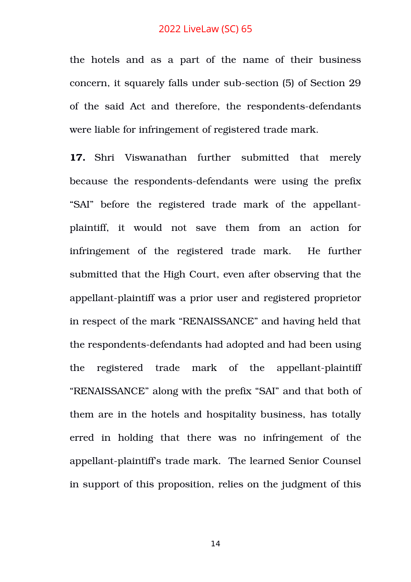the hotels and as a part of the name of their business concern, it squarely falls under sub-section (5) of Section 29 of the said Act and therefore, the respondents-defendants were liable for infringement of registered trade mark.

17. Shri Viswanathan further submitted that merely because the respondents-defendants were using the prefix "SAI" before the registered trade mark of the appellantplaintiff, it would not save them from an action for infringement of the registered trade mark. He further submitted that the High Court, even after observing that the appellant-plaintiff was a prior user and registered proprietor in respect of the mark "RENAISSANCE" and having held that the respondents-defendants had adopted and had been using the registered trade mark of the appellant-plaintiff "RENAISSANCE" along with the prefix "SAI" and that both of them are in the hotels and hospitality business, has totally erred in holding that there was no infringement of the appellant-plaintiff's trade mark. The learned Senior Counsel in support of this proposition, relies on the judgment of this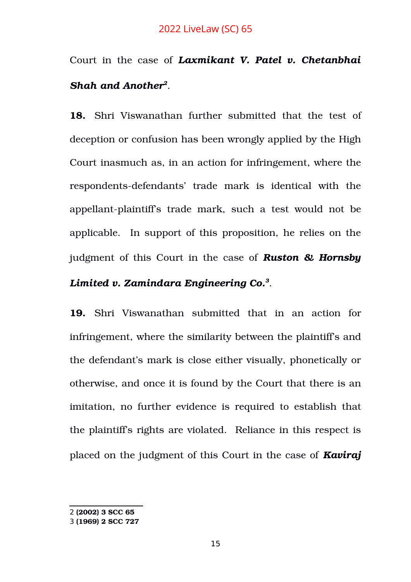# Court in the case of *Laxmikant V. Patel v. Chetanbhai Shah and Another[2](#page-14-0)* .

**18.** Shri Viswanathan further submitted that the test of deception or confusion has been wrongly applied by the High Court inasmuch as, in an action for infringement, where the respondents-defendants' trade mark is identical with the appellant-plaintiff's trade mark, such a test would not be applicable. In support of this proposition, he relies on the judgment of this Court in the case of *Ruston & Hornsby*

# *Limited v. Zamindara Engineering Co.[3](#page-14-1)* .

**19.** Shri Viswanathan submitted that in an action for infringement, where the similarity between the plaintiff's and the defendant's mark is close either visually, phonetically or otherwise, and once it is found by the Court that there is an imitation, no further evidence is required to establish that the plaintiff's rights are violated. Reliance in this respect is placed on the judgment of this Court in the case of *Kaviraj*

<span id="page-14-0"></span><sup>2</sup> **(2002) 3 SCC 65**

<span id="page-14-1"></span><sup>3</sup> **(1969) 2 SCC 727**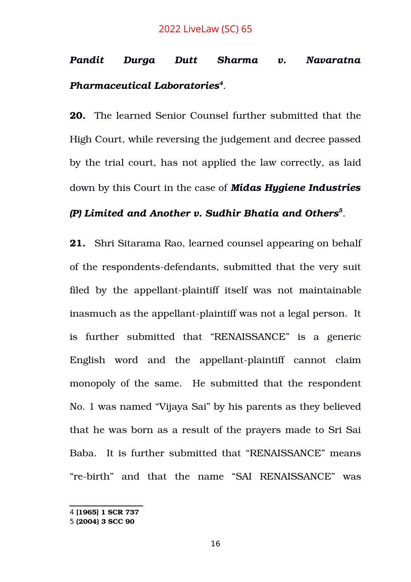# *Pandit Durga Dutt Sharma v. Navaratna Pharmaceutical Laboratories[4](#page-15-0)* .

**20.** The learned Senior Counsel further submitted that the High Court, while reversing the judgement and decree passed by the trial court, has not applied the law correctly, as laid down by this Court in the case of *Midas Hygiene Industries*

# *(P) Limited and Another v. Sudhir Bhatia and Others[5](#page-15-1)* .

**21.** Shri Sitarama Rao, learned counsel appearing on behalf of the respondents-defendants, submitted that the very suit filed by the appellant-plaintiff itself was not maintainable inasmuch as the appellant-plaintiff was not a legal person. It is further submitted that "RENAISSANCE" is a generic English word and the appellant-plaintiff cannot claim monopoly of the same. He submitted that the respondent No. 1 was named "Vijaya Sai" by his parents as they believed that he was born as a result of the prayers made to Sri Sai Baba. It is further submitted that "RENAISSANCE" means "re-birth" and that the name "SAI RENAISSANCE" was

<span id="page-15-0"></span><sup>4</sup> **[1965] 1 SCR 737**

<span id="page-15-1"></span><sup>5</sup> **(2004) 3 SCC 90**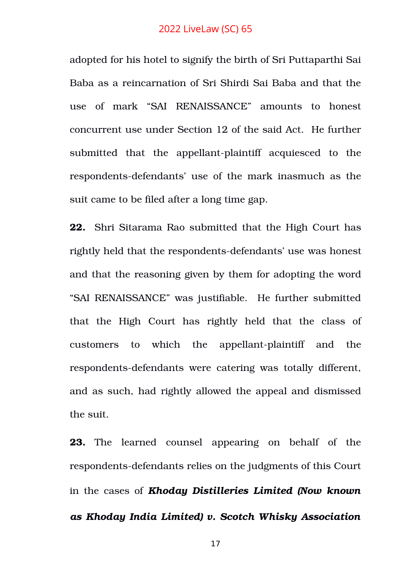adopted for his hotel to signify the birth of Sri Puttaparthi Sai Baba as a reincarnation of Sri Shirdi Sai Baba and that the use of mark "SAI RENAISSANCE" amounts to honest concurrent use under Section 12 of the said Act. He further submitted that the appellant-plaintiff acquiesced to the respondents-defendants' use of the mark inasmuch as the suit came to be filed after a long time gap.

**22.** Shri Sitarama Rao submitted that the High Court has rightly held that the respondents-defendants' use was honest and that the reasoning given by them for adopting the word "SAI RENAISSANCE" was justifiable. He further submitted that the High Court has rightly held that the class of customers to which the appellant-plaintiff and the respondents-defendants were catering was totally different, and as such, had rightly allowed the appeal and dismissed the suit.

**23.** The learned counsel appearing on behalf of the respondents-defendants relies on the judgments of this Court in the cases of *Khoday Distilleries Limited (Now known as Khoday India Limited) v. Scotch Whisky Association*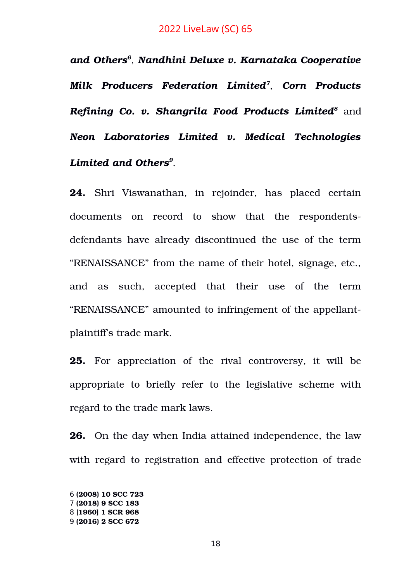*and Others[6](#page-17-0)* , *Nandhini Deluxe v. Karnataka Cooperative Milk Producers Federation Limited[7](#page-17-1)* , *Corn Products Refining Co. v. Shangrila Food Products Limited[8](#page-17-2)* and *Neon Laboratories Limited v. Medical Technologies Limited and Others[9](#page-17-3)* .

**24.** Shri Viswanathan, in rejoinder, has placed certain documents on record to show that the respondentsdefendants have already discontinued the use of the term "RENAISSANCE" from the name of their hotel, signage, etc., and as such, accepted that their use of the term "RENAISSANCE" amounted to infringement of the appellantplaintiff's trade mark.

**25.** For appreciation of the rival controversy, it will be appropriate to briefly refer to the legislative scheme with regard to the trade mark laws.

**26.** On the day when India attained independence, the law with regard to registration and effective protection of trade

<span id="page-17-0"></span><sup>6</sup> **(2008) 10 SCC 723**

<span id="page-17-1"></span><sup>7</sup> **(2018) 9 SCC 183**

<span id="page-17-2"></span><sup>8</sup> **[1960] 1 SCR 968**

<span id="page-17-3"></span><sup>9</sup> **(2016) 2 SCC 672**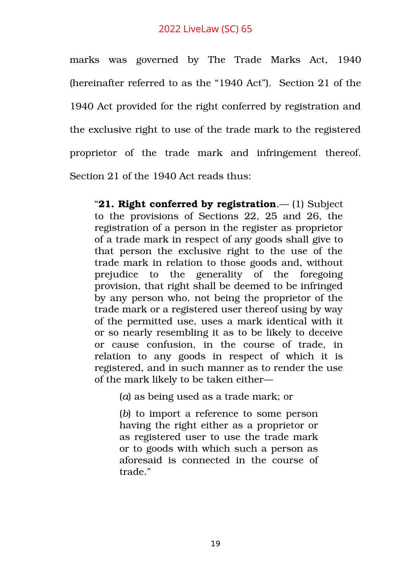marks was governed by The Trade Marks Act, 1940 (hereinafter referred to as the "1940 Act"). Section 21 of the 1940 Act provided for the right conferred by registration and the exclusive right to use of the trade mark to the registered proprietor of the trade mark and infringement thereof. Section 21 of the 1940 Act reads thus:

"**[21. Right conferred by registration](https://www.scconline.com/Members/BrowseResult.aspx#BS29)**.— (1) Subject to the provisions of Sections 22, 25 and 26, the registration of a person in the register as proprietor of a trade mark in respect of any goods shall give to that person the exclusive right to the use of the trade mark in relation to those goods and, without prejudice to the generality of the foregoing provision, that right shall be deemed to be infringed by any person who, not being the proprietor of the trade mark or a registered user thereof using by way of the permitted use, uses a mark identical with it or so nearly resembling it as to be likely to deceive or cause confusion, in the course of trade, in relation to any goods in respect of which it is registered, and in such manner as to render the use of the mark likely to be taken either—

(*a*) as being used as a trade mark; or

(*b*) to import a reference to some person having the right either as a proprietor or as registered user to use the trade mark or to goods with which such a person as aforesaid is connected in the course of trade."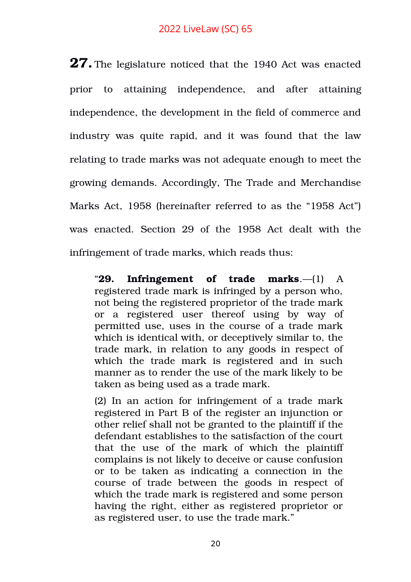**27.** The legislature noticed that the 1940 Act was enacted prior to attaining independence, and after attaining independence, the development in the field of commerce and industry was quite rapid, and it was found that the law relating to trade marks was not adequate enough to meet the growing demands. Accordingly, The Trade and Merchandise Marks Act, 1958 (hereinafter referred to as the "1958 Act") was enacted. Section 29 of the 1958 Act dealt with the infringement of trade marks, which reads thus:

"**[29. Infringement of trade marks](https://www.scconline.com/Members/BrowseResult.aspx#BS37)**.—(1) A registered trade mark is infringed by a person who, not being the registered proprietor of the trade mark or a registered user thereof using by way of permitted use, uses in the course of a trade mark which is identical with, or deceptively similar to, the trade mark, in relation to any goods in respect of which the trade mark is registered and in such manner as to render the use of the mark likely to be taken as being used as a trade mark.

(2) In an action for infringement of a trade mark registered in Part B of the register an injunction or other relief shall not be granted to the plaintiff if the defendant establishes to the satisfaction of the court that the use of the mark of which the plaintiff complains is not likely to deceive or cause confusion or to be taken as indicating a connection in the course of trade between the goods in respect of which the trade mark is registered and some person having the right, either as registered proprietor or as registered user, to use the trade mark."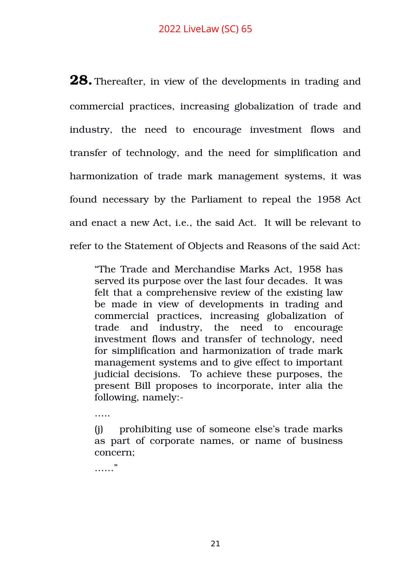**28.** Thereafter, in view of the developments in trading and commercial practices, increasing globalization of trade and industry, the need to encourage investment flows and transfer of technology, and the need for simplification and harmonization of trade mark management systems, it was found necessary by the Parliament to repeal the 1958 Act and enact a new Act, i.e., the said Act. It will be relevant to refer to the Statement of Objects and Reasons of the said Act:

"The Trade and Merchandise Marks Act, 1958 has served its purpose over the last four decades. It was felt that a comprehensive review of the existing law be made in view of developments in trading and commercial practices, increasing globalization of trade and industry, the need to encourage investment flows and transfer of technology, need for simplification and harmonization of trade mark management systems and to give effect to important judicial decisions. To achieve these purposes, the present Bill proposes to incorporate, inter alia the following, namely:

…… (j) prohibiting use of someone else's trade marks as part of corporate names, or name of business concern;

…<br>……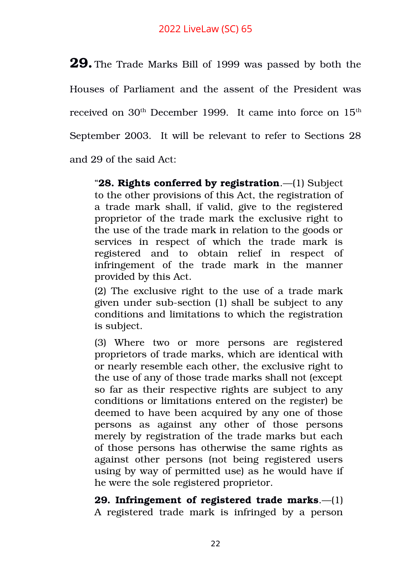**29.** The Trade Marks Bill of 1999 was passed by both the Houses of Parliament and the assent of the President was received on 30<sup>th</sup> December 1999. It came into force on 15<sup>th</sup> September 2003. It will be relevant to refer to Sections 28 and 29 of the said Act:

"**[28. Rights conferred by registration](https://www.scconline.com/Members/BrowseResult.aspx#BS36)**.—(1) Subject to the other provisions of this Act, the registration of a trade mark shall, if valid, give to the registered proprietor of the trade mark the exclusive right to the use of the trade mark in relation to the goods or services in respect of which the trade mark is registered and to obtain relief in respect of infringement of the trade mark in the manner provided by this Act.

(2) The exclusive right to the use of a trade mark given under sub-section (1) shall be subject to any conditions and limitations to which the registration is subject.

(3) Where two or more persons are registered proprietors of trade marks, which are identical with or nearly resemble each other, the exclusive right to the use of any of those trade marks shall not (except so far as their respective rights are subject to any conditions or limitations entered on the register) be deemed to have been acquired by any one of those persons as against any other of those persons merely by registration of the trade marks but each of those persons has otherwise the same rights as against other persons (not being registered users using by way of permitted use) as he would have if he were the sole registered proprietor.

**[29. Infringement of registered trade marks](https://www.scconline.com/Members/BrowseResult.aspx#BS37)**.—(1) A registered trade mark is infringed by a person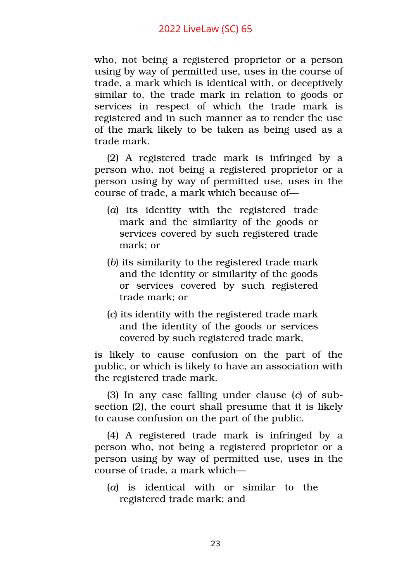who, not being a registered proprietor or a person using by way of permitted use, uses in the course of trade, a mark which is identical with, or deceptively similar to, the trade mark in relation to goods or services in respect of which the trade mark is registered and in such manner as to render the use of the mark likely to be taken as being used as a trade mark.

(2) A registered trade mark is infringed by a person who, not being a registered proprietor or a person using by way of permitted use, uses in the course of trade, a mark which because of—

- (*a*) its identity with the registered trade mark and the similarity of the goods or services covered by such registered trade mark; or
- (*b*) its similarity to the registered trade mark and the identity or similarity of the goods or services covered by such registered trade mark; or
- (*c*) its identity with the registered trade mark and the identity of the goods or services covered by such registered trade mark,

is likely to cause confusion on the part of the public, or which is likely to have an association with the registered trade mark.

(3) In any case falling under clause (*c*) of subsection (2), the court shall presume that it is likely to cause confusion on the part of the public.

(4) A registered trade mark is infringed by a person who, not being a registered proprietor or a person using by way of permitted use, uses in the course of trade, a mark which—

(*a*) is identical with or similar to the registered trade mark; and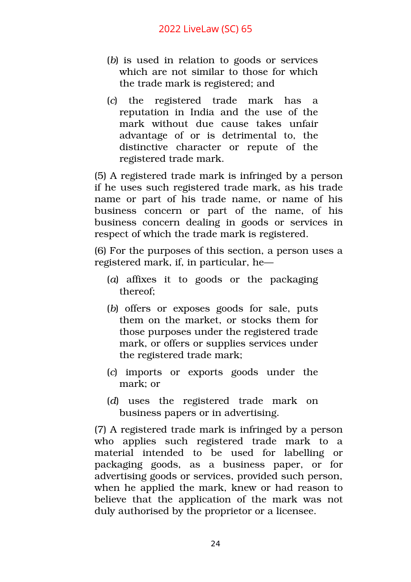- (*b*) is used in relation to goods or services which are not similar to those for which the trade mark is registered; and
- (*c*) the registered trade mark has a reputation in India and the use of the mark without due cause takes unfair advantage of or is detrimental to, the distinctive character or repute of the registered trade mark.

(5) A registered trade mark is infringed by a person if he uses such registered trade mark, as his trade name or part of his trade name, or name of his business concern or part of the name, of his business concern dealing in goods or services in respect of which the trade mark is registered.

(6) For the purposes of this section, a person uses a registered mark, if, in particular, he—

- (*a*) affixes it to goods or the packaging thereof;
- (*b*) offers or exposes goods for sale, puts them on the market, or stocks them for those purposes under the registered trade mark, or offers or supplies services under the registered trade mark;
- (*c*) imports or exports goods under the mark; or
- (*d*) uses the registered trade mark on business papers or in advertising.

(7) A registered trade mark is infringed by a person who applies such registered trade mark to a material intended to be used for labelling or packaging goods, as a business paper, or for advertising goods or services, provided such person, when he applied the mark, knew or had reason to believe that the application of the mark was not duly authorised by the proprietor or a licensee.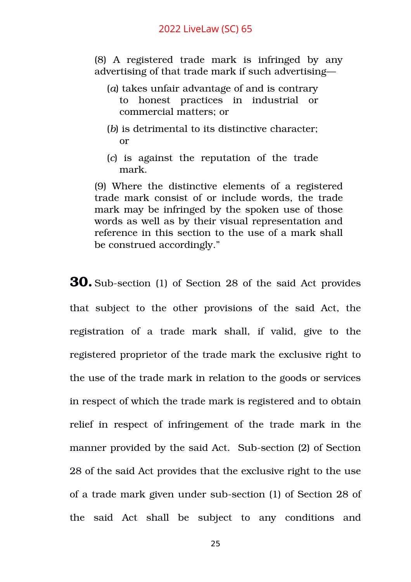(8) A registered trade mark is infringed by any advertising of that trade mark if such advertising—

- (*a*) takes unfair advantage of and is contrary to honest practices in industrial or commercial matters; or
- (*b*) is detrimental to its distinctive character; or
- (*c*) is against the reputation of the trade mark.

(9) Where the distinctive elements of a registered trade mark consist of or include words, the trade mark may be infringed by the spoken use of those words as well as by their visual representation and reference in this section to the use of a mark shall be construed accordingly."

**30.** Sub-section (1) of Section 28 of the said Act provides that subject to the other provisions of the said Act, the registration of a trade mark shall, if valid, give to the registered proprietor of the trade mark the exclusive right to the use of the trade mark in relation to the goods or services in respect of which the trade mark is registered and to obtain relief in respect of infringement of the trade mark in the manner provided by the said Act. Sub-section (2) of Section 28 of the said Act provides that the exclusive right to the use of a trade mark given under sub-section (1) of Section 28 of the said Act shall be subject to any conditions and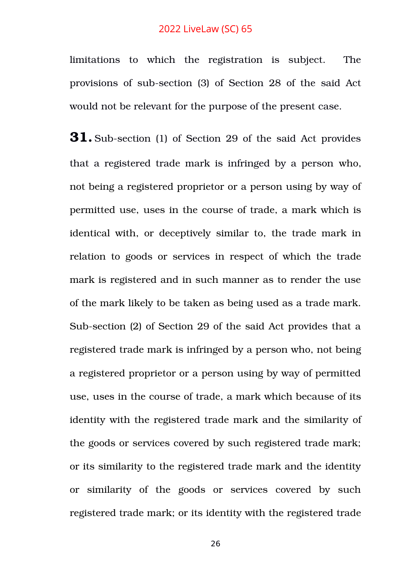limitations to which the registration is subject. The provisions of sub-section (3) of Section 28 of the said Act would not be relevant for the purpose of the present case.

**31.** Sub-section (1) of Section 29 of the said Act provides that a registered trade mark is infringed by a person who, not being a registered proprietor or a person using by way of permitted use, uses in the course of trade, a mark which is identical with, or deceptively similar to, the trade mark in relation to goods or services in respect of which the trade mark is registered and in such manner as to render the use of the mark likely to be taken as being used as a trade mark. Sub-section (2) of Section 29 of the said Act provides that a registered trade mark is infringed by a person who, not being a registered proprietor or a person using by way of permitted use, uses in the course of trade, a mark which because of its identity with the registered trade mark and the similarity of the goods or services covered by such registered trade mark; or its similarity to the registered trade mark and the identity or similarity of the goods or services covered by such registered trade mark; or its identity with the registered trade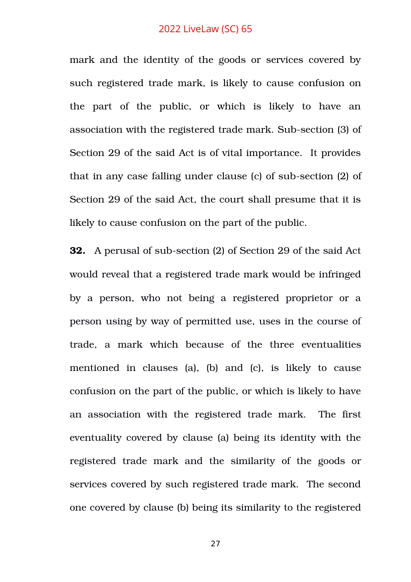mark and the identity of the goods or services covered by such registered trade mark, is likely to cause confusion on the part of the public, or which is likely to have an association with the registered trade mark. Sub-section (3) of Section 29 of the said Act is of vital importance. It provides that in any case falling under clause (c) of sub-section (2) of Section 29 of the said Act, the court shall presume that it is likely to cause confusion on the part of the public.

**32.** A perusal of sub-section (2) of Section 29 of the said Act would reveal that a registered trade mark would be infringed by a person, who not being a registered proprietor or a person using by way of permitted use, uses in the course of trade, a mark which because of the three eventualities mentioned in clauses (a), (b) and (c), is likely to cause confusion on the part of the public, or which is likely to have an association with the registered trade mark. The first eventuality covered by clause (a) being its identity with the registered trade mark and the similarity of the goods or services covered by such registered trade mark. The second one covered by clause (b) being its similarity to the registered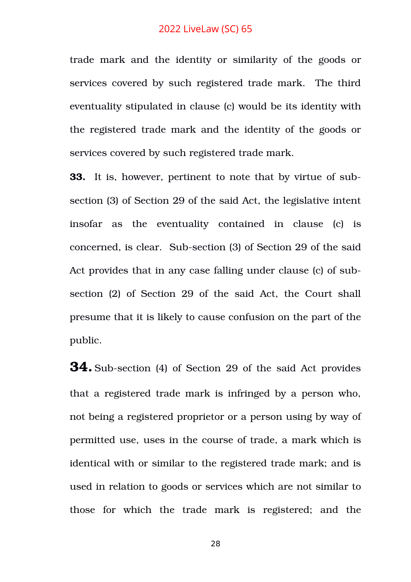trade mark and the identity or similarity of the goods or services covered by such registered trade mark. The third eventuality stipulated in clause (c) would be its identity with the registered trade mark and the identity of the goods or services covered by such registered trade mark.

**33.** It is, however, pertinent to note that by virtue of subsection (3) of Section 29 of the said Act, the legislative intent insofar as the eventuality contained in clause (c) is concerned, is clear. Sub-section (3) of Section 29 of the said Act provides that in any case falling under clause (c) of subsection (2) of Section 29 of the said Act, the Court shall presume that it is likely to cause confusion on the part of the public.

**34.** Sub-section (4) of Section 29 of the said Act provides that a registered trade mark is infringed by a person who, not being a registered proprietor or a person using by way of permitted use, uses in the course of trade, a mark which is identical with or similar to the registered trade mark; and is used in relation to goods or services which are not similar to those for which the trade mark is registered; and the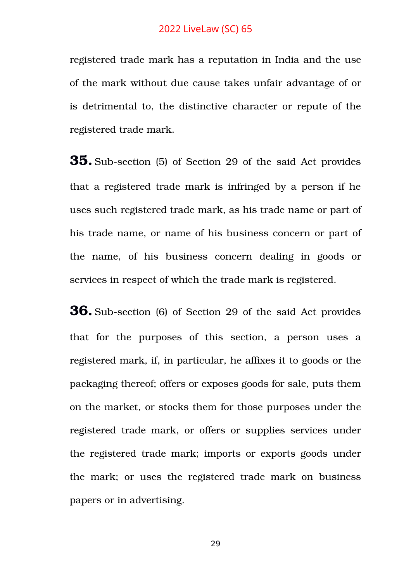registered trade mark has a reputation in India and the use of the mark without due cause takes unfair advantage of or is detrimental to, the distinctive character or repute of the registered trade mark.

**35.** Sub-section (5) of Section 29 of the said Act provides that a registered trade mark is infringed by a person if he uses such registered trade mark, as his trade name or part of his trade name, or name of his business concern or part of the name, of his business concern dealing in goods or services in respect of which the trade mark is registered.

**36.** Sub-section (6) of Section 29 of the said Act provides that for the purposes of this section, a person uses a registered mark, if, in particular, he affixes it to goods or the packaging thereof; offers or exposes goods for sale, puts them on the market, or stocks them for those purposes under the registered trade mark, or offers or supplies services under the registered trade mark; imports or exports goods under the mark; or uses the registered trade mark on business papers or in advertising.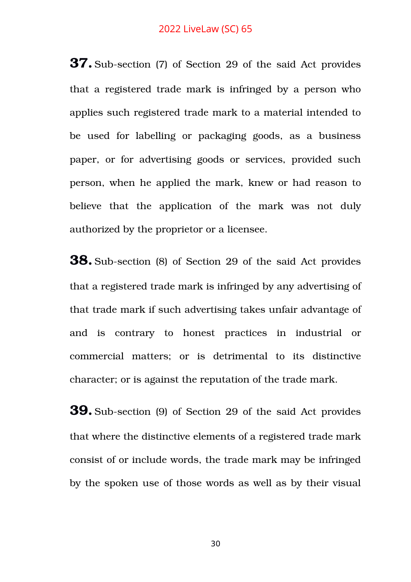**37.** Sub-section (7) of Section 29 of the said Act provides that a registered trade mark is infringed by a person who applies such registered trade mark to a material intended to be used for labelling or packaging goods, as a business paper, or for advertising goods or services, provided such person, when he applied the mark, knew or had reason to believe that the application of the mark was not duly authorized by the proprietor or a licensee.

**38.** Sub-section (8) of Section 29 of the said Act provides that a registered trade mark is infringed by any advertising of that trade mark if such advertising takes unfair advantage of and is contrary to honest practices in industrial or commercial matters; or is detrimental to its distinctive character; or is against the reputation of the trade mark.

**39.** Sub-section (9) of Section 29 of the said Act provides that where the distinctive elements of a registered trade mark consist of or include words, the trade mark may be infringed by the spoken use of those words as well as by their visual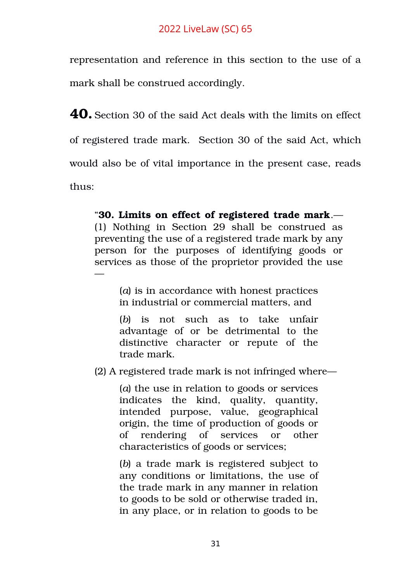representation and reference in this section to the use of a mark shall be construed accordingly.

**40.** Section 30 of the said Act deals with the limits on effect of registered trade mark. Section 30 of the said Act, which would also be of vital importance in the present case, reads thus:

"**[30. Limits on effect of registered trade mark](https://www.scconline.com/Members/BrowseResult.aspx#BS38)**.— (1) Nothing in Section 29 shall be construed as preventing the use of a registered trade mark by any person for the purposes of identifying goods or services as those of the proprietor provided the use —

> (*a*) is in accordance with honest practices in industrial or commercial matters, and

> (b) is not such as to take unfair advantage of or be detrimental to the distinctive character or repute of the trade mark.

(2) A registered trade mark is not infringed where—

(*a*) the use in relation to goods or services indicates the kind, quality, quantity, intended purpose, value, geographical origin, the time of production of goods or of rendering of services or other characteristics of goods or services;

(*b*) a trade mark is registered subject to any conditions or limitations, the use of the trade mark in any manner in relation to goods to be sold or otherwise traded in, in any place, or in relation to goods to be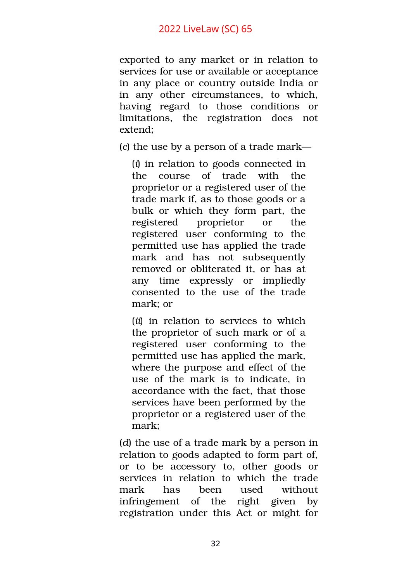exported to any market or in relation to services for use or available or acceptance in any place or country outside India or in any other circumstances, to which, having regard to those conditions or limitations, the registration does not extend;

(*c*) the use by a person of a trade mark—

(*i*) in relation to goods connected in the course of trade with the proprietor or a registered user of the trade mark if, as to those goods or a bulk or which they form part, the registered proprietor or the registered user conforming to the permitted use has applied the trade mark and has not subsequently removed or obliterated it, or has at any time expressly or impliedly consented to the use of the trade mark; or

(*ii*) in relation to services to which the proprietor of such mark or of a registered user conforming to the permitted use has applied the mark, where the purpose and effect of the use of the mark is to indicate, in accordance with the fact, that those services have been performed by the proprietor or a registered user of the mark;

(*d*) the use of a trade mark by a person in relation to goods adapted to form part of, or to be accessory to, other goods or services in relation to which the trade mark has been used without infringement of the right given by registration under this Act or might for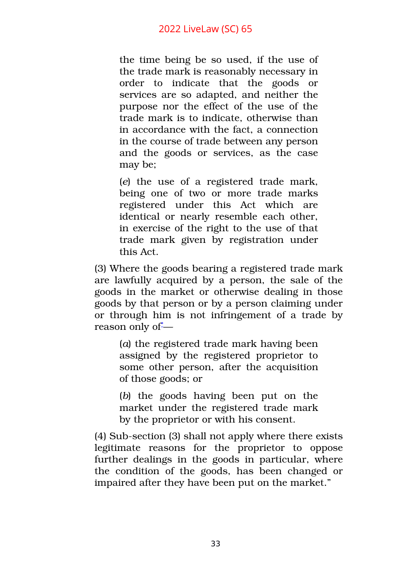the time being be so used, if the use of the trade mark is reasonably necessary in order to indicate that the goods or services are so adapted, and neither the purpose nor the effect of the use of the trade mark is to indicate, otherwise than in accordance with the fact, a connection in the course of trade between any person and the goods or services, as the case may be;

(*e*) the use of a registered trade mark, being one of two or more trade marks registered under this Act which are identical or nearly resemble each other, in exercise of the right to the use of that trade mark given by registration under this Act.

(3) Where the goods bearing a registered trade mark are lawfully acquired by a person, the sale of the goods in the market or otherwise dealing in those goods by that person or by a person claiming under or through him is not infringement of a trade by reason only of -

(*a*) the registered trade mark having been assigned by the registered proprietor to some other person, after the acquisition of those goods; or

(b) the goods having been put on the market under the registered trade mark by the proprietor or with his consent.

(4) Sub-section (3) shall not apply where there exists legitimate reasons for the proprietor to oppose further dealings in the goods in particular, where the condition of the goods, has been changed or impaired after they have been put on the market."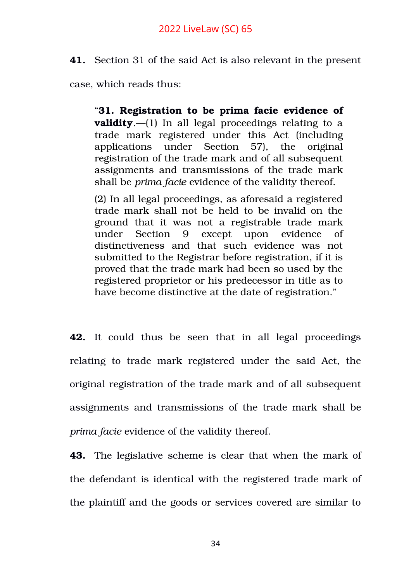**41.** Section 31 of the said Act is also relevant in the present

case, which reads thus:

"**[31. Registration to be prima facie evidence of](https://www.scconline.com/Members/BrowseResult.aspx#BS39) [validity](https://www.scconline.com/Members/BrowseResult.aspx#BS39).**—(1) In all legal proceedings relating to a trade mark registered under this Act (including applications under Section 57), the original registration of the trade mark and of all subsequent assignments and transmissions of the trade mark shall be *prima facie* evidence of the validity thereof.

(2) In all legal proceedings, as aforesaid a registered trade mark shall not be held to be invalid on the ground that it was not a registrable trade mark under Section 9 except upon evidence of distinctiveness and that such evidence was not submitted to the Registrar before registration, if it is proved that the trade mark had been so used by the registered proprietor or his predecessor in title as to have become distinctive at the date of registration."

**42.** It could thus be seen that in all legal proceedings relating to trade mark registered under the said Act, the original registration of the trade mark and of all subsequent assignments and transmissions of the trade mark shall be *prima facie* evidence of the validity thereof.

**43.** The legislative scheme is clear that when the mark of the defendant is identical with the registered trade mark of the plaintiff and the goods or services covered are similar to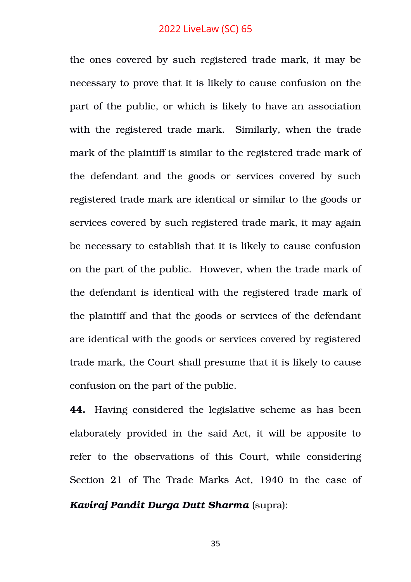the ones covered by such registered trade mark, it may be necessary to prove that it is likely to cause confusion on the part of the public, or which is likely to have an association with the registered trade mark. Similarly, when the trade mark of the plaintiff is similar to the registered trade mark of the defendant and the goods or services covered by such registered trade mark are identical or similar to the goods or services covered by such registered trade mark, it may again be necessary to establish that it is likely to cause confusion on the part of the public. However, when the trade mark of the defendant is identical with the registered trade mark of the plaintiff and that the goods or services of the defendant are identical with the goods or services covered by registered trade mark, the Court shall presume that it is likely to cause confusion on the part of the public.

**44.** Having considered the legislative scheme as has been elaborately provided in the said Act, it will be apposite to refer to the observations of this Court, while considering Section 21 of The Trade Marks Act, 1940 in the case of *Kaviraj Pandit Durga Dutt Sharma* (supra):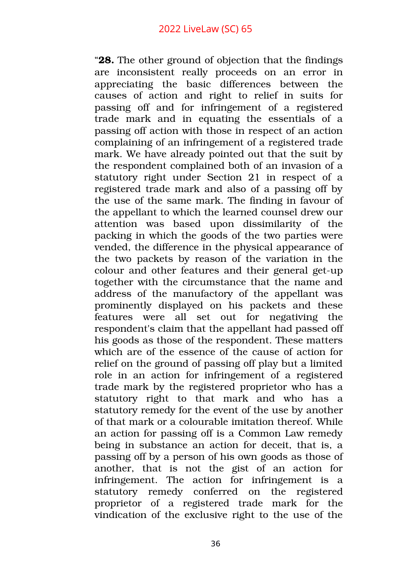"**28.** The other ground of objection that the findings are inconsistent really proceeds on an error in appreciating the basic differences between the causes of action and right to relief in suits for passing off and for infringement of a registered trade mark and in equating the essentials of a passing off action with those in respect of an action complaining of an infringement of a registered trade mark. We have already pointed out that the suit by the respondent complained both of an invasion of a statutory right under Section 21 in respect of a registered trade mark and also of a passing off by the use of the same mark. The finding in favour of the appellant to which the learned counsel drew our attention was based upon dissimilarity of the packing in which the goods of the two parties were vended, the difference in the physical appearance of the two packets by reason of the variation in the colour and other features and their general get-up together with the circumstance that the name and address of the manufactory of the appellant was prominently displayed on his packets and these features were all set out for negativing the respondent's claim that the appellant had passed off his goods as those of the respondent. These matters which are of the essence of the cause of action for relief on the ground of passing off play but a limited role in an action for infringement of a registered trade mark by the registered proprietor who has a statutory right to that mark and who has a statutory remedy for the event of the use by another of that mark or a colourable imitation thereof. While an action for passing off is a Common Law remedy being in substance an action for deceit, that is, a passing off by a person of his own goods as those of another, that is not the gist of an action for infringement. The action for infringement is a statutory remedy conferred on the registered proprietor of a registered trade mark for the vindication of the exclusive right to the use of the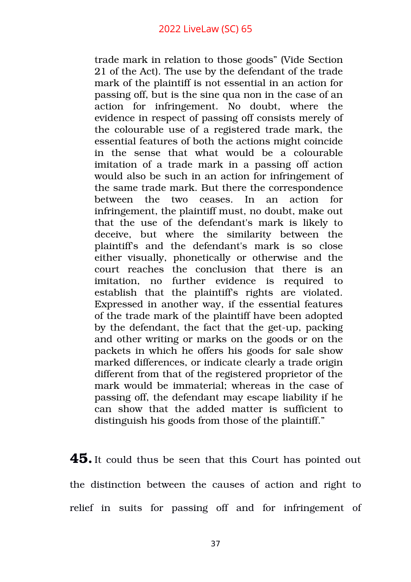trade mark in relation to those goods" (Vide Section 21 of the Act). The use by the defendant of the trade mark of the plaintiff is not essential in an action for passing off, but is the sine qua non in the case of an action for infringement. No doubt, where the evidence in respect of passing off consists merely of the colourable use of a registered trade mark, the essential features of both the actions might coincide in the sense that what would be a colourable imitation of a trade mark in a passing off action would also be such in an action for infringement of the same trade mark. But there the correspondence between the two ceases. In an action for infringement, the plaintiff must, no doubt, make out that the use of the defendant's mark is likely to deceive, but where the similarity between the plaintiff's and the defendant's mark is so close either visually, phonetically or otherwise and the court reaches the conclusion that there is an imitation, no further evidence is required to establish that the plaintiff's rights are violated. Expressed in another way, if the essential features of the trade mark of the plaintiff have been adopted by the defendant, the fact that the get-up, packing and other writing or marks on the goods or on the packets in which he offers his goods for sale show marked differences, or indicate clearly a trade origin different from that of the registered proprietor of the mark would be immaterial; whereas in the case of passing off, the defendant may escape liability if he can show that the added matter is sufficient to distinguish his goods from those of the plaintiff."

**45.**It could thus be seen that this Court has pointed out the distinction between the causes of action and right to relief in suits for passing off and for infringement of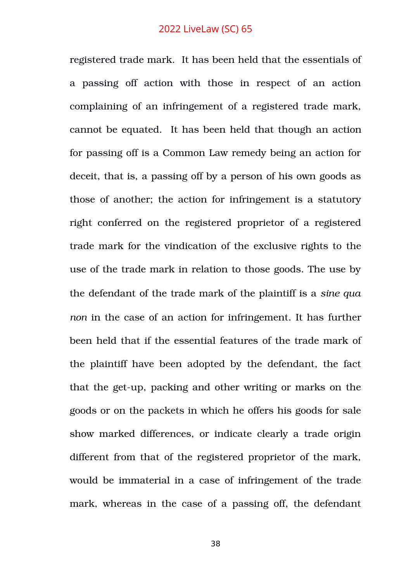registered trade mark. It has been held that the essentials of a passing off action with those in respect of an action complaining of an infringement of a registered trade mark, cannot be equated. It has been held that though an action for passing off is a Common Law remedy being an action for deceit, that is, a passing off by a person of his own goods as those of another; the action for infringement is a statutory right conferred on the registered proprietor of a registered trade mark for the vindication of the exclusive rights to the use of the trade mark in relation to those goods. The use by the defendant of the trade mark of the plaintiff is a *sine qua non* in the case of an action for infringement. It has further been held that if the essential features of the trade mark of the plaintiff have been adopted by the defendant, the fact that the get-up, packing and other writing or marks on the goods or on the packets in which he offers his goods for sale show marked differences, or indicate clearly a trade origin different from that of the registered proprietor of the mark, would be immaterial in a case of infringement of the trade mark, whereas in the case of a passing off, the defendant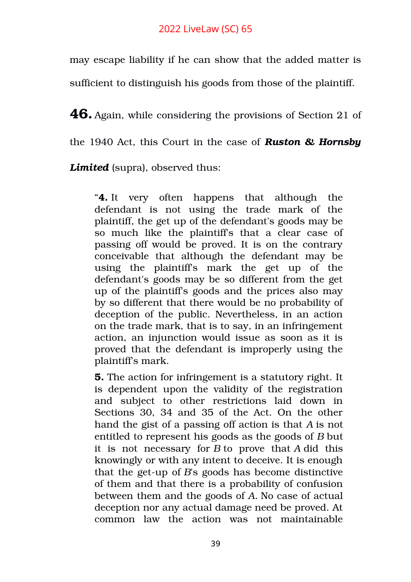may escape liability if he can show that the added matter is

sufficient to distinguish his goods from those of the plaintiff.

**46.** Again, while considering the provisions of Section 21 of

the 1940 Act, this Court in the case of *Ruston & Hornsby*

Limited (supra), observed thus:

"**4.** It very often happens that although the defendant is not using the trade mark of the plaintiff, the get up of the defendant's goods may be so much like the plaintiffs that a clear case of passing off would be proved. It is on the contrary conceivable that although the defendant may be using the plaintiff's mark the get up of the defendant's goods may be so different from the get up of the plaintiff's goods and the prices also may by so different that there would be no probability of deception of the public. Nevertheless, in an action on the trade mark, that is to say, in an infringement action, an injunction would issue as soon as it is proved that the defendant is improperly using the plaintiff's mark.

**5.** The action for infringement is a statutory right. It is dependent upon the validity of the registration and subject to other restrictions laid down in Sections 30, 34 and 35 of the Act. On the other hand the gist of a passing off action is that *A* is not entitled to represent his goods as the goods of *B* but it is not necessary for  $B$  to prove that  $A$  did this knowingly or with any intent to deceive. It is enough that the get-up of  $B$ 's goods has become distinctive of them and that there is a probability of confusion between them and the goods of *A.* No case of actual deception nor any actual damage need be proved. At common law the action was not maintainable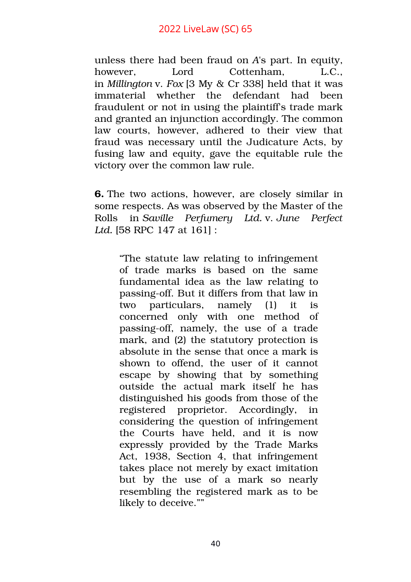unless there had been fraud on *A*'s part. In equity, however, Lord Cottenham, L.C., in *Millington* v. *Fox* [3 My & Cr 338] held that it was immaterial whether the defendant had been fraudulent or not in using the plaintiff's trade mark and granted an injunction accordingly. The common law courts, however, adhered to their view that fraud was necessary until the Judicature Acts, by fusing law and equity, gave the equitable rule the victory over the common law rule.

**6.** The two actions, however, are closely similar in some respects. As was observed by the Master of the Rolls in *Saville Perfumery Ltd.* v. *June Perfect Ltd.* [58 RPC 147 at 161] :

"The statute law relating to infringement of trade marks is based on the same fundamental idea as the law relating to passing-off. But it differs from that law in two particulars, namely (1) it is concerned only with one method of passing-off, namely, the use of a trade mark, and (2) the statutory protection is absolute in the sense that once a mark is shown to offend, the user of it cannot escape by showing that by something outside the actual mark itself he has distinguished his goods from those of the registered proprietor. Accordingly, in considering the question of infringement the Courts have held, and it is now expressly provided by the Trade Marks Act, 1938, Section 4, that infringement takes place not merely by exact imitation but by the use of a mark so nearly resembling the registered mark as to be likely to deceive.""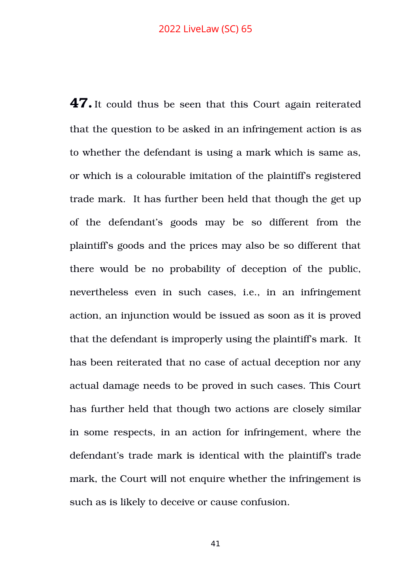**47.**It could thus be seen that this Court again reiterated that the question to be asked in an infringement action is as to whether the defendant is using a mark which is same as, or which is a colourable imitation of the plaintiff's registered trade mark. It has further been held that though the get up of the defendant's goods may be so different from the plaintiff's goods and the prices may also be so different that there would be no probability of deception of the public, nevertheless even in such cases, *i.e.*, in an infringement action, an injunction would be issued as soon as it is proved that the defendant is improperly using the plaintiff's mark. It has been reiterated that no case of actual deception nor any actual damage needs to be proved in such cases. This Court has further held that though two actions are closely similar in some respects, in an action for infringement, where the defendant's trade mark is identical with the plaintiff's trade mark, the Court will not enquire whether the infringement is such as is likely to deceive or cause confusion.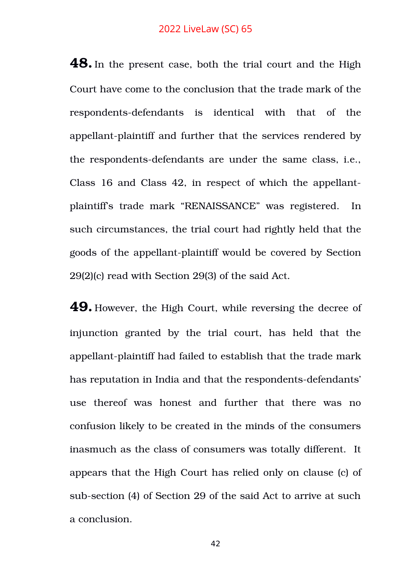**48.**In the present case, both the trial court and the High Court have come to the conclusion that the trade mark of the respondents-defendants is identical with that of the appellant-plaintiff and further that the services rendered by the respondents-defendants are under the same class, i.e., Class 16 and Class 42, in respect of which the appellantplaintiff's trade mark "RENAISSANCE" was registered. In such circumstances, the trial court had rightly held that the goods of the appellant-plaintiff would be covered by Section 29(2)(c) read with Section 29(3) of the said Act.

**49.** However, the High Court, while reversing the decree of injunction granted by the trial court, has held that the appellant-plaintiff had failed to establish that the trade mark has reputation in India and that the respondents-defendants' use thereof was honest and further that there was no confusion likely to be created in the minds of the consumers inasmuch as the class of consumers was totally different. It appears that the High Court has relied only on clause (c) of sub-section (4) of Section 29 of the said Act to arrive at such a conclusion.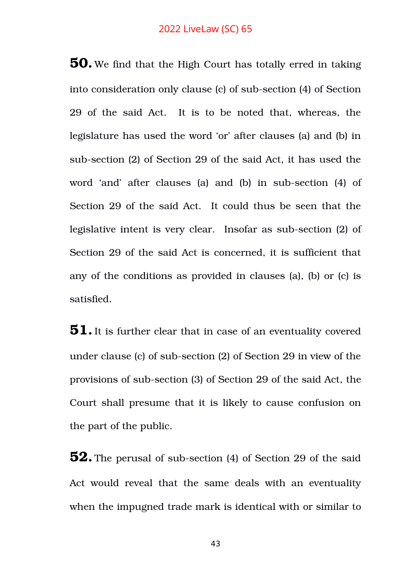**50.** We find that the High Court has totally erred in taking into consideration only clause (c) of sub-section (4) of Section 29 of the said Act. It is to be noted that, whereas, the legislature has used the word 'or' after clauses (a) and (b) in sub-section (2) of Section 29 of the said Act, it has used the word 'and' after clauses (a) and (b) in sub-section (4) of Section 29 of the said Act. It could thus be seen that the legislative intent is very clear. Insofar as sub-section (2) of Section 29 of the said Act is concerned, it is sufficient that any of the conditions as provided in clauses (a), (b) or (c) is satisfied.

**51.**It is further clear that in case of an eventuality covered under clause (c) of sub-section (2) of Section 29 in view of the provisions of subsection (3) of Section 29 of the said Act, the Court shall presume that it is likely to cause confusion on the part of the public.

**52.** The perusal of sub-section (4) of Section 29 of the said Act would reveal that the same deals with an eventuality when the impugned trade mark is identical with or similar to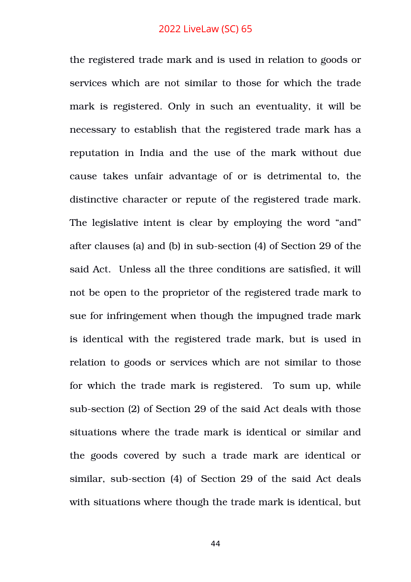the registered trade mark and is used in relation to goods or services which are not similar to those for which the trade mark is registered. Only in such an eventuality, it will be necessary to establish that the registered trade mark has a reputation in India and the use of the mark without due cause takes unfair advantage of or is detrimental to, the distinctive character or repute of the registered trade mark. The legislative intent is clear by employing the word "and" after clauses (a) and (b) in sub-section (4) of Section 29 of the said Act. Unless all the three conditions are satisfied, it will not be open to the proprietor of the registered trade mark to sue for infringement when though the impugned trade mark is identical with the registered trade mark, but is used in relation to goods or services which are not similar to those for which the trade mark is registered. To sum up, while sub-section (2) of Section 29 of the said Act deals with those situations where the trade mark is identical or similar and the goods covered by such a trade mark are identical or similar, sub-section (4) of Section 29 of the said Act deals with situations where though the trade mark is identical, but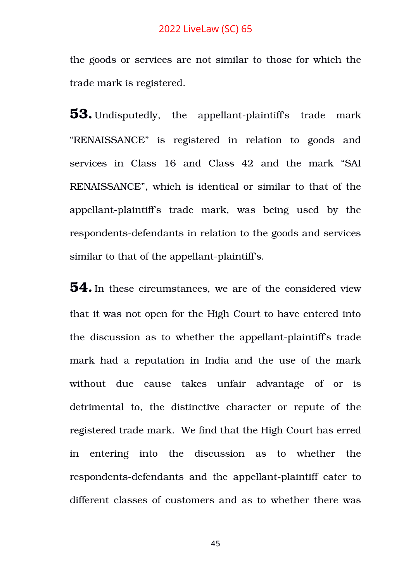the goods or services are not similar to those for which the trade mark is registered.

**53.** Undisputedly, the appellant-plaintiff's trade mark "RENAISSANCE" is registered in relation to goods and services in Class 16 and Class 42 and the mark "SAI RENAISSANCE", which is identical or similar to that of the appellant-plaintiff's trade mark, was being used by the respondents-defendants in relation to the goods and services similar to that of the appellant-plaintiff's.

**54.**In these circumstances, we are of the considered view that it was not open for the High Court to have entered into the discussion as to whether the appellant-plaintiff's trade mark had a reputation in India and the use of the mark without due cause takes unfair advantage of or is detrimental to, the distinctive character or repute of the registered trade mark. We find that the High Court has erred in entering into the discussion as to whether the respondents-defendants and the appellant-plaintiff cater to different classes of customers and as to whether there was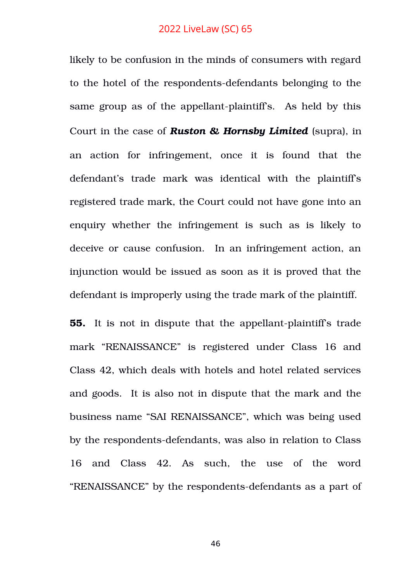likely to be confusion in the minds of consumers with regard to the hotel of the respondents-defendants belonging to the same group as of the appellant-plaintiff's. As held by this Court in the case of *Ruston & Hornsby Limited* (supra), in an action for infringement, once it is found that the defendant's trade mark was identical with the plaintiff's registered trade mark, the Court could not have gone into an enquiry whether the infringement is such as is likely to deceive or cause confusion. In an infringement action, an injunction would be issued as soon as it is proved that the defendant is improperly using the trade mark of the plaintiff.

**55.** It is not in dispute that the appellant-plaintiff's trade mark "RENAISSANCE" is registered under Class 16 and Class 42, which deals with hotels and hotel related services and goods. It is also not in dispute that the mark and the business name "SAI RENAISSANCE", which was being used by the respondents-defendants, was also in relation to Class 16 and Class 42. As such, the use of the word "RENAISSANCE" by the respondents-defendants as a part of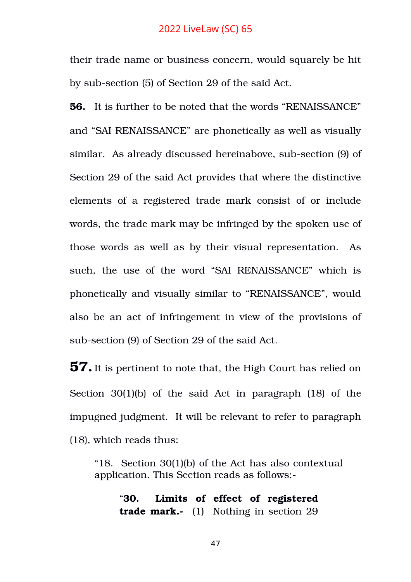their trade name or business concern, would squarely be hit by sub-section (5) of Section 29 of the said Act.

**56.** It is further to be noted that the words "RENAISSANCE" and "SAI RENAISSANCE" are phonetically as well as visually similar. As already discussed hereinabove, sub-section (9) of Section 29 of the said Act provides that where the distinctive elements of a registered trade mark consist of or include words, the trade mark may be infringed by the spoken use of those words as well as by their visual representation. As such, the use of the word "SAI RENAISSANCE" which is phonetically and visually similar to "RENAISSANCE", would also be an act of infringement in view of the provisions of sub-section (9) of Section 29 of the said Act.

**57.**It is pertinent to note that, the High Court has relied on Section  $30(1)(b)$  of the said Act in paragraph  $(18)$  of the impugned judgment. It will be relevant to refer to paragraph (18), which reads thus:

"18. Section 30(1)(b) of the Act has also contextual application. This Section reads as follows:

"**30. Limits of effect of registered trade mark.** (1) Nothing in section 29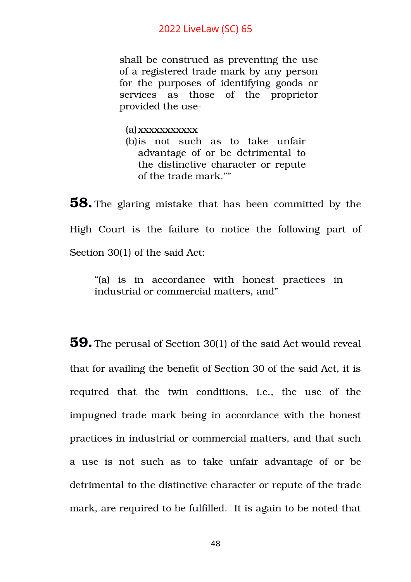shall be construed as preventing the use of a registered trade mark by any person for the purposes of identifying goods or services as those of the proprietor provided the use

(a)xxxxxxxxxxx (b) this not such as to take unfair advantage of or be detrimental to the distinctive character or repute of the trade mark.""

**58.** The glaring mistake that has been committed by the High Court is the failure to notice the following part of Section 30(1) of the said Act:

"(a) is in accordance with honest practices in industrial or commercial matters, and"

**59.** The perusal of Section 30(1) of the said Act would reveal that for availing the benefit of Section 30 of the said Act, it is required that the twin conditions, i.e., the use of the impugned trade mark being in accordance with the honest practices in industrial or commercial matters, and that such a use is not such as to take unfair advantage of or be detrimental to the distinctive character or repute of the trade mark, are required to be fulfilled. It is again to be noted that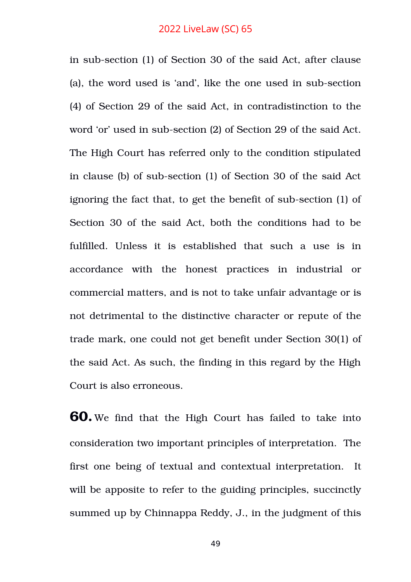in sub-section (1) of Section 30 of the said Act, after clause (a), the word used is 'and', like the one used in sub-section (4) of Section 29 of the said Act, in contradistinction to the word 'or' used in sub-section (2) of Section 29 of the said Act. The High Court has referred only to the condition stipulated in clause (b) of sub-section (1) of Section 30 of the said Act ignoring the fact that, to get the benefit of sub-section (1) of Section 30 of the said Act, both the conditions had to be fulfilled. Unless it is established that such a use is in accordance with the honest practices in industrial or commercial matters, and is not to take unfair advantage or is not detrimental to the distinctive character or repute of the trade mark, one could not get benefit under Section 30(1) of the said Act. As such, the finding in this regard by the High Court is also erroneous.

**60.** We find that the High Court has failed to take into consideration two important principles of interpretation. The first one being of textual and contextual interpretation. It will be apposite to refer to the guiding principles, succinctly summed up by Chinnappa Reddy, J., in the judgment of this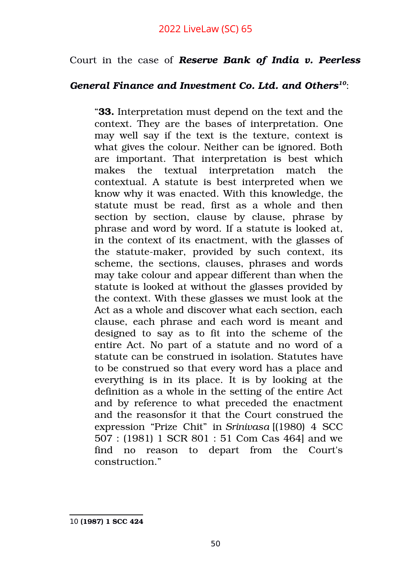# Court in the case of *Reserve Bank of India v. Peerless*

# *General Finance and Investment Co. Ltd. and Others[10](#page-49-0)*:

"**33.** Interpretation must depend on the text and the context. They are the bases of interpretation. One may well say if the text is the texture, context is what gives the colour. Neither can be ignored. Both are important. That interpretation is best which makes the textual interpretation match the contextual. A statute is best interpreted when we know why it was enacted. With this knowledge, the statute must be read, first as a whole and then section by section, clause by clause, phrase by phrase and word by word. If a statute is looked at, in the context of its enactment, with the glasses of the statute-maker, provided by such context, its scheme, the sections, clauses, phrases and words may take colour and appear different than when the statute is looked at without the glasses provided by the context. With these glasses we must look at the Act as a whole and discover what each section, each clause, each phrase and each word is meant and designed to say as to fit into the scheme of the entire Act. No part of a statute and no word of a statute can be construed in isolation. Statutes have to be construed so that every word has a place and everything is in its place. It is by looking at the definition as a whole in the setting of the entire Act and by reference to what preceded the enactment and the reasonsfor it that the Court construed the expression "Prize Chit" in *Srinivasa* [(1980) 4 SCC 507 : (1981) 1 SCR 801 : 51 Com Cas 464] and we find no reason to depart from the Court's construction."

<span id="page-49-0"></span>10 **(1987) 1 SCC 424**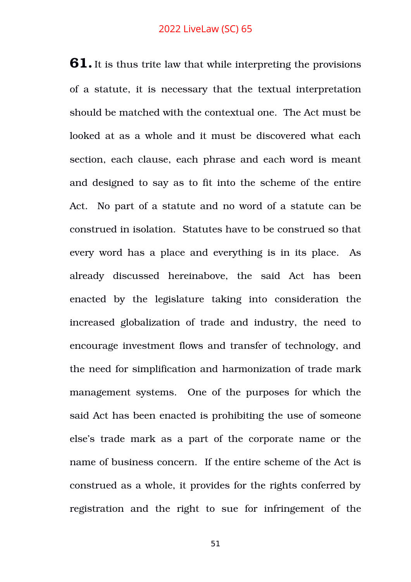**61.**It is thus trite law that while interpreting the provisions of a statute, it is necessary that the textual interpretation should be matched with the contextual one. The Act must be looked at as a whole and it must be discovered what each section, each clause, each phrase and each word is meant and designed to say as to fit into the scheme of the entire Act. No part of a statute and no word of a statute can be construed in isolation. Statutes have to be construed so that every word has a place and everything is in its place. As already discussed hereinabove, the said Act has been enacted by the legislature taking into consideration the increased globalization of trade and industry, the need to encourage investment flows and transfer of technology, and the need for simplification and harmonization of trade mark management systems. One of the purposes for which the said Act has been enacted is prohibiting the use of someone else's trade mark as a part of the corporate name or the name of business concern. If the entire scheme of the Act is construed as a whole, it provides for the rights conferred by registration and the right to sue for infringement of the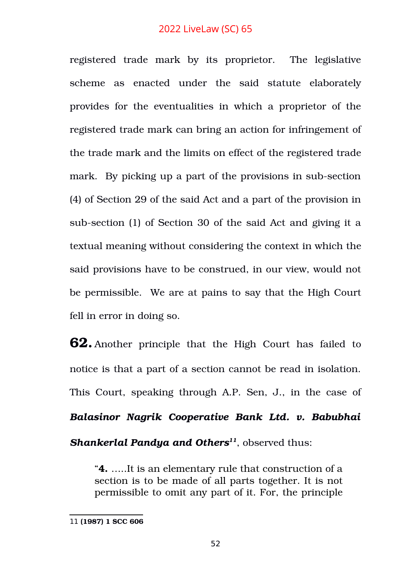registered trade mark by its proprietor. The legislative scheme as enacted under the said statute elaborately provides for the eventualities in which a proprietor of the registered trade mark can bring an action for infringement of the trade mark and the limits on effect of the registered trade mark. By picking up a part of the provisions in sub-section (4) of Section 29 of the said Act and a part of the provision in sub-section (1) of Section 30 of the said Act and giving it a textual meaning without considering the context in which the said provisions have to be construed, in our view, would not be permissible. We are at pains to say that the High Court fell in error in doing so.

**62.** Another principle that the High Court has failed to notice is that a part of a section cannot be read in isolation. This Court, speaking through A.P. Sen, J., in the case of *Balasinor Nagrik Cooperative Bank Ltd. v. Babubhai Shankerlal Pandya and Others[11](#page-51-0)*, observed thus:

"**4.** …..It is an elementary rule that construction of a section is to be made of all parts together. It is not permissible to omit any part of it. For, the principle

<span id="page-51-0"></span><sup>11</sup> **(1987) 1 SCC 606**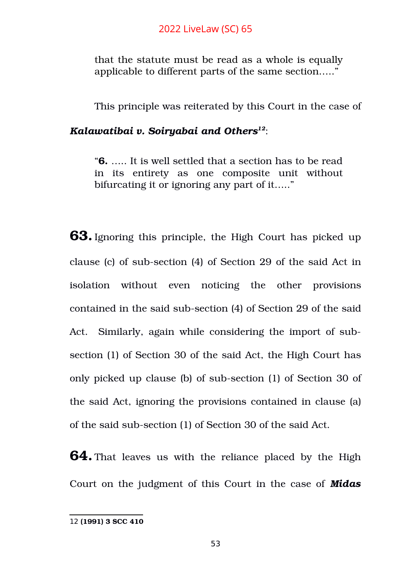that the statute must be read as a whole is equally applicable to different parts of the same section….."

This principle was reiterated by this Court in the case of

## *Kalawatibai v. Soiryabai and Others[12](#page-52-0)*:

"**6.** ….. It is well settled that a section has to be read in its entirety as one composite unit without bifurcating it or ignoring any part of it….."

**63.**Ignoring this principle, the High Court has picked up clause (c) of sub-section (4) of Section 29 of the said Act in isolation without even noticing the other provisions contained in the said sub-section (4) of Section 29 of the said Act. Similarly, again while considering the import of subsection (1) of Section 30 of the said Act, the High Court has only picked up clause (b) of sub-section (1) of Section 30 of the said Act, ignoring the provisions contained in clause (a) of the said sub-section (1) of Section 30 of the said Act.

**64.** That leaves us with the reliance placed by the High Court on the judgment of this Court in the case of *Midas*

<span id="page-52-0"></span><sup>12</sup> **(1991) 3 SCC 410**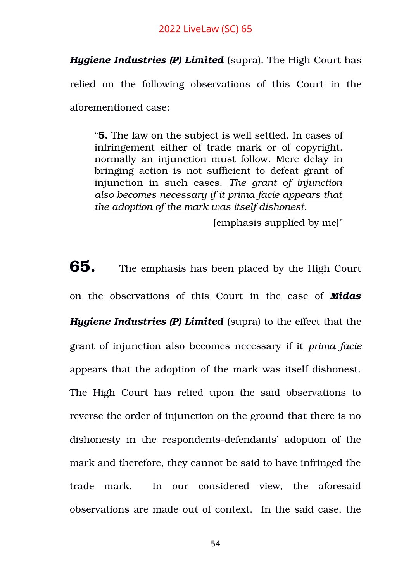*Hygiene Industries (P) Limited* (supra). The High Court has relied on the following observations of this Court in the aforementioned case:

"**5.** The law on the subject is well settled. In cases of infringement either of trade mark or of copyright, normally an injunction must follow. Mere delay in bringing action is not sufficient to defeat grant of injunction in such cases. *The grant of injunction also becomes necessary if it prima facie appears that the adoption of the mark was itself dishonest.*

[emphasis supplied by me]"

**65.** The emphasis has been placed by the High Court on the observations of this Court in the case of *Midas Hygiene Industries (P) Limited* (supra) to the effect that the grant of injunction also becomes necessary if it *prima facie* appears that the adoption of the mark was itself dishonest. The High Court has relied upon the said observations to reverse the order of injunction on the ground that there is no dishonesty in the respondents-defendants' adoption of the mark and therefore, they cannot be said to have infringed the trade mark. In our considered view, the aforesaid observations are made out of context. In the said case, the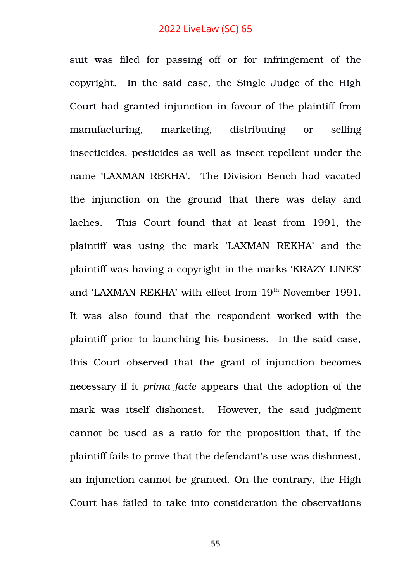suit was filed for passing off or for infringement of the copyright. In the said case, the Single Judge of the High Court had granted injunction in favour of the plaintiff from manufacturing, marketing, distributing or selling insecticides, pesticides as well as insect repellent under the name 'LAXMAN REKHA'. The Division Bench had vacated the injunction on the ground that there was delay and laches. This Court found that at least from 1991, the plaintiff was using the mark 'LAXMAN REKHA' and the plaintiff was having a copyright in the marks 'KRAZY LINES' and 'LAXMAN REKHA' with effect from 19<sup>th</sup> November 1991. It was also found that the respondent worked with the plaintiff prior to launching his business. In the said case, this Court observed that the grant of injunction becomes necessary if it *prima facie* appears that the adoption of the mark was itself dishonest. However, the said judgment cannot be used as a ratio for the proposition that, if the plaintiff fails to prove that the defendant's use was dishonest, an injunction cannot be granted. On the contrary, the High Court has failed to take into consideration the observations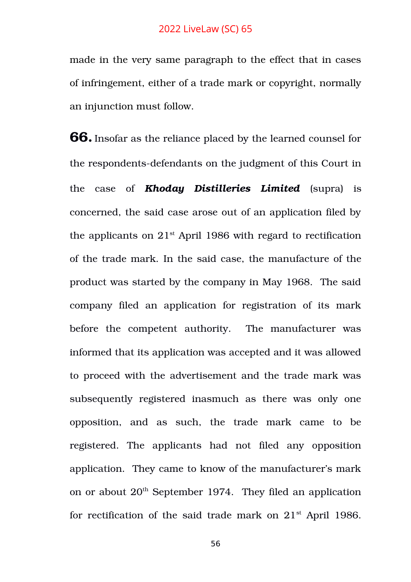made in the very same paragraph to the effect that in cases of infringement, either of a trade mark or copyright, normally an injunction must follow.

**66.**Insofar as the reliance placed by the learned counsel for the respondents-defendants on the judgment of this Court in the case of *Khoday Distilleries Limited* (supra) is concerned, the said case arose out of an application filed by the applicants on  $21<sup>st</sup>$  April 1986 with regard to rectification of the trade mark. In the said case, the manufacture of the product was started by the company in May 1968. The said company filed an application for registration of its mark before the competent authority. The manufacturer was informed that its application was accepted and it was allowed to proceed with the advertisement and the trade mark was subsequently registered inasmuch as there was only one opposition, and as such, the trade mark came to be registered. The applicants had not filed any opposition application. They came to know of the manufacturer's mark on or about  $20<sup>th</sup>$  September 1974. They filed an application for rectification of the said trade mark on  $21<sup>st</sup>$  April 1986.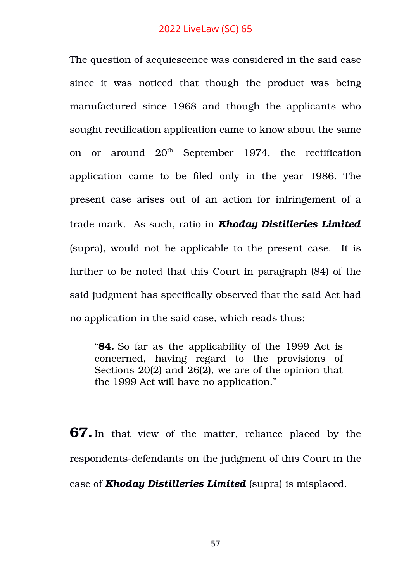The question of acquiescence was considered in the said case since it was noticed that though the product was being manufactured since 1968 and though the applicants who sought rectification application came to know about the same on or around  $20<sup>th</sup>$  September 1974, the rectification application came to be filed only in the year 1986. The present case arises out of an action for infringement of a trade mark. As such, ratio in *Khoday Distilleries Limited* (supra), would not be applicable to the present case. It is further to be noted that this Court in paragraph (84) of the said judgment has specifically observed that the said Act had no application in the said case, which reads thus:

"**84.** So far as the applicability of the 1999 Act is concerned, having regard to the provisions of Sections 20(2) and 26(2), we are of the opinion that the 1999 Act will have no application."

**67.** In that view of the matter, reliance placed by the respondents-defendants on the judgment of this Court in the case of *Khoday Distilleries Limited* (supra) is misplaced.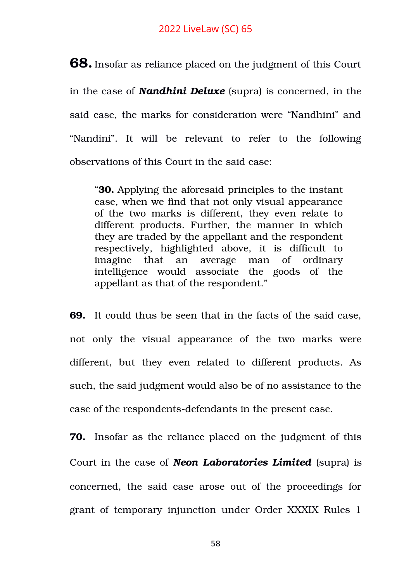**68.**Insofar as reliance placed on the judgment of this Court in the case of *Nandhini Deluxe* (supra) is concerned, in the said case, the marks for consideration were "Nandhini" and "Nandini". It will be relevant to refer to the following observations of this Court in the said case:

"**30.** Applying the aforesaid principles to the instant case, when we find that not only visual appearance of the two marks is different, they even relate to different products. Further, the manner in which they are traded by the appellant and the respondent respectively, highlighted above, it is difficult to imagine that an average man of ordinary intelligence would associate the goods of the appellant as that of the respondent."

**69.** It could thus be seen that in the facts of the said case, not only the visual appearance of the two marks were different, but they even related to different products. As such, the said judgment would also be of no assistance to the case of the respondents-defendants in the present case.

**70.** Insofar as the reliance placed on the judgment of this Court in the case of *Neon Laboratories Limited* (supra) is concerned, the said case arose out of the proceedings for grant of temporary injunction under Order XXXIX Rules 1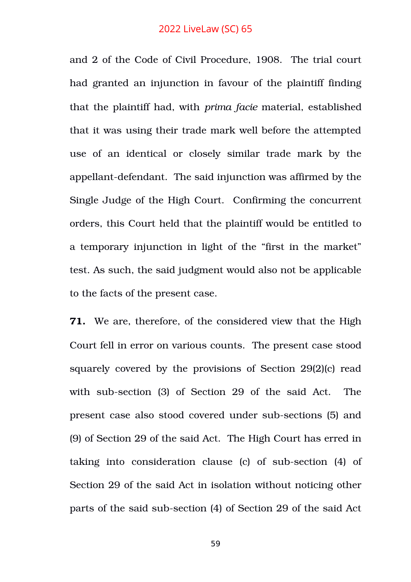and 2 of the Code of Civil Procedure, 1908. The trial court had granted an injunction in favour of the plaintiff finding that the plaintiff had, with *prima facie* material, established that it was using their trade mark well before the attempted use of an identical or closely similar trade mark by the appellant-defendant. The said injunction was affirmed by the Single Judge of the High Court. Confirming the concurrent orders, this Court held that the plaintiff would be entitled to a temporary injunction in light of the "first in the market" test. As such, the said judgment would also not be applicable to the facts of the present case.

**71.** We are, therefore, of the considered view that the High Court fell in error on various counts. The present case stood squarely covered by the provisions of Section 29(2)(c) read with sub-section (3) of Section 29 of the said Act. The present case also stood covered under sub-sections (5) and (9) of Section 29 of the said Act. The High Court has erred in taking into consideration clause  $(c)$  of sub-section  $(4)$  of Section 29 of the said Act in isolation without noticing other parts of the said sub-section (4) of Section 29 of the said Act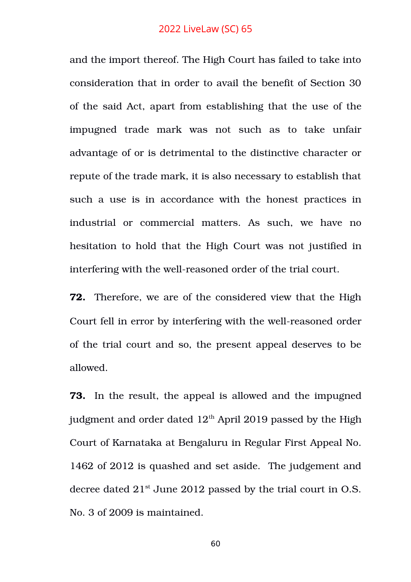and the import thereof. The High Court has failed to take into consideration that in order to avail the benefit of Section 30 of the said Act, apart from establishing that the use of the impugned trade mark was not such as to take unfair advantage of or is detrimental to the distinctive character or repute of the trade mark, it is also necessary to establish that such a use is in accordance with the honest practices in industrial or commercial matters. As such, we have no hesitation to hold that the High Court was not justified in interfering with the well-reasoned order of the trial court.

**72.** Therefore, we are of the considered view that the High Court fell in error by interfering with the well-reasoned order of the trial court and so, the present appeal deserves to be allowed.

**73.** In the result, the appeal is allowed and the impugned judgment and order dated  $12<sup>th</sup>$  April 2019 passed by the High Court of Karnataka at Bengaluru in Regular First Appeal No. 1462 of 2012 is quashed and set aside. The judgement and decree dated  $21^{st}$  June 2012 passed by the trial court in O.S. No. 3 of 2009 is maintained.